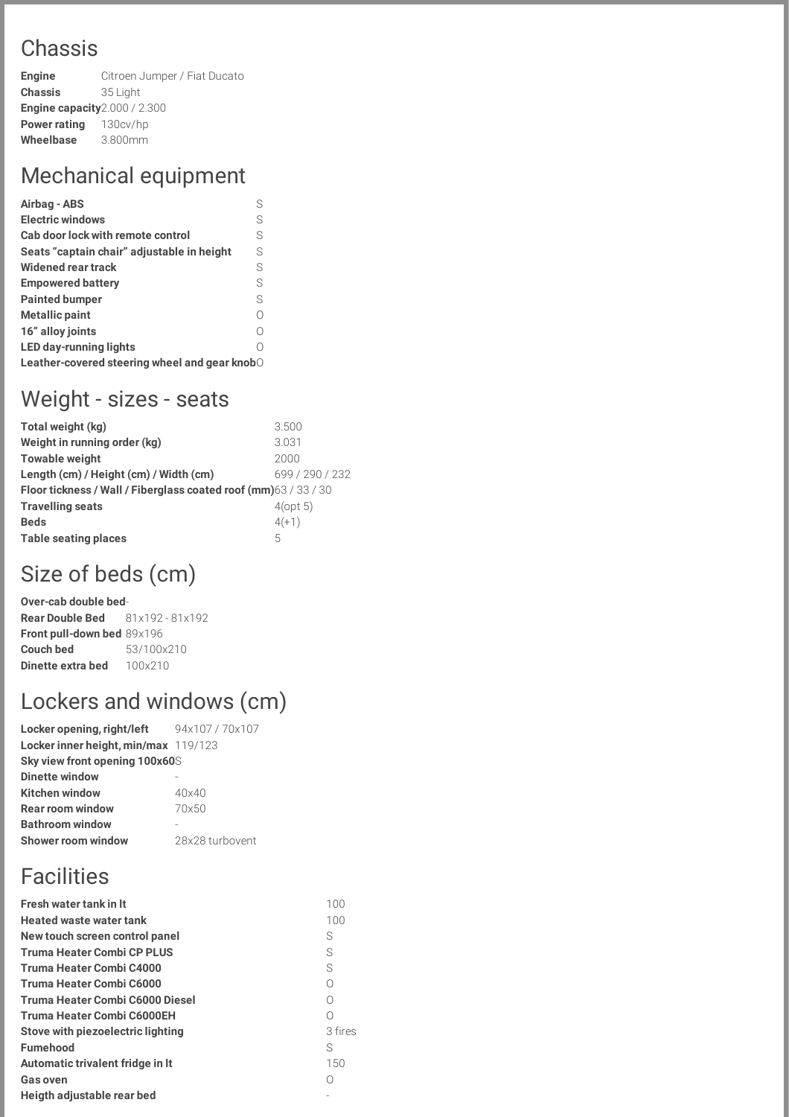### Chassis

**Engine** Citroen Jumper / Fiat Ducato **Chassis** 35 Light **Engine capacity**2.000 / 2.300 **Power rating** 130cv/hp **Wheelbase** 3.800mm

### Mechanical equipment

| Airbag - ABS                                  | S  |  |
|-----------------------------------------------|----|--|
| <b>Electric windows</b>                       | S  |  |
| Cab door lock with remote control             | S  |  |
| Seats "captain chair" adjustable in height    | S  |  |
| Widened rear track                            | S  |  |
| <b>Empowered battery</b>                      | S  |  |
| <b>Painted bumper</b>                         | S. |  |
| <b>Metallic paint</b>                         | ∩  |  |
| 16" alloy joints                              | Ω  |  |
| <b>LED day-running lights</b>                 |    |  |
| Leather-covered steering wheel and gear knobO |    |  |

#### Weight - sizes - seats

| Total weight (kg)                                                | 3.500           |  |
|------------------------------------------------------------------|-----------------|--|
| Weight in running order (kg)                                     | 3.031           |  |
| <b>Towable weight</b>                                            | 2000            |  |
| Length (cm) / Height (cm) / Width (cm)                           | 699 / 290 / 232 |  |
| Floor tickness / Wall / Fiberglass coated roof (mm) 63 / 33 / 30 |                 |  |
| <b>Travelling seats</b>                                          | $4$ (opt 5)     |  |
| <b>Beds</b>                                                      | $4(+1)$         |  |
| Table seating places                                             | 5               |  |
|                                                                  |                 |  |

## Size of beds (cm)

**Over-cab double bed**-**Rear Double Bed** 81x192 - 81x192 **Front pull-down bed** 89x196 **Couch bed** 53/100x210 **Dinette extra bed** 100x210

# Lockers and windows (cm)

**Locker opening, right/left** 94x107 / 70x107 **Locker inner height, min/max** 119/123 **Sky view front opening 100x60**S **Dinette window** - **Kitchen window** 40x40 **Rear room window** 70x50 **Bathroom window** - **Shower room window** 28x28 turbovent

## **Facilities**

| <b>Fresh water tank in It</b>     | 100        |
|-----------------------------------|------------|
| <b>Heated waste water tank</b>    | 100        |
| New touch screen control panel    | S          |
| <b>Truma Heater Combi CP PLUS</b> | S          |
| Truma Heater Combi C4000          | S          |
| Truma Heater Combi C6000          | Ω          |
| Truma Heater Combi C6000 Diesel   | $\bigcirc$ |
| Truma Heater Combi C6000EH        | Ω          |
| Stove with piezoelectric lighting | 3 fires    |
| <b>Fumehood</b>                   | S          |
| Automatic trivalent fridge in It  | 150        |
| <b>Gas oven</b>                   |            |
| Heigth adjustable rear bed        |            |